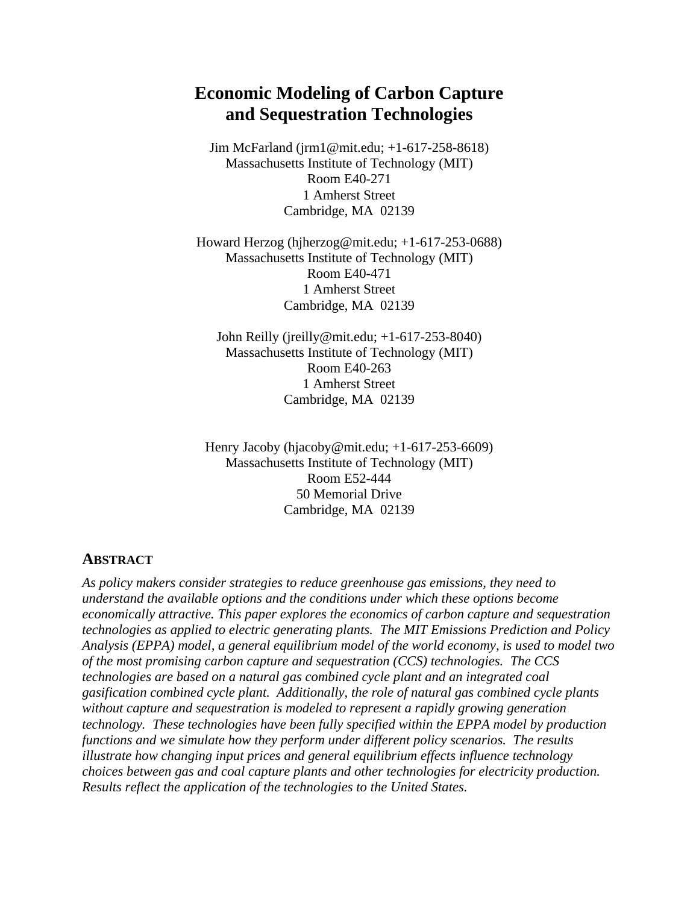# **Economic Modeling of Carbon Capture and Sequestration Technologies**

Jim McFarland (jrm1@mit.edu; +1-617-258-8618) Massachusetts Institute of Technology (MIT) Room E40-271 1 Amherst Street Cambridge, MA 02139

Howard Herzog (hjherzog@mit.edu; +1-617-253-0688) Massachusetts Institute of Technology (MIT) Room E40-471 1 Amherst Street Cambridge, MA 02139

John Reilly (jreilly@mit.edu; +1-617-253-8040) Massachusetts Institute of Technology (MIT) Room E40-263 1 Amherst Street Cambridge, MA 02139

Henry Jacoby (hjacoby@mit.edu; +1-617-253-6609) Massachusetts Institute of Technology (MIT) Room E52-444 50 Memorial Drive Cambridge, MA 02139

#### **ABSTRACT**

*As policy makers consider strategies to reduce greenhouse gas emissions, they need to understand the available options and the conditions under which these options become economically attractive. This paper explores the economics of carbon capture and sequestration technologies as applied to electric generating plants. The MIT Emissions Prediction and Policy Analysis (EPPA) model, a general equilibrium model of the world economy, is used to model two of the most promising carbon capture and sequestration (CCS) technologies. The CCS technologies are based on a natural gas combined cycle plant and an integrated coal gasification combined cycle plant. Additionally, the role of natural gas combined cycle plants without capture and sequestration is modeled to represent a rapidly growing generation technology. These technologies have been fully specified within the EPPA model by production functions and we simulate how they perform under different policy scenarios. The results illustrate how changing input prices and general equilibrium effects influence technology choices between gas and coal capture plants and other technologies for electricity production. Results reflect the application of the technologies to the United States.*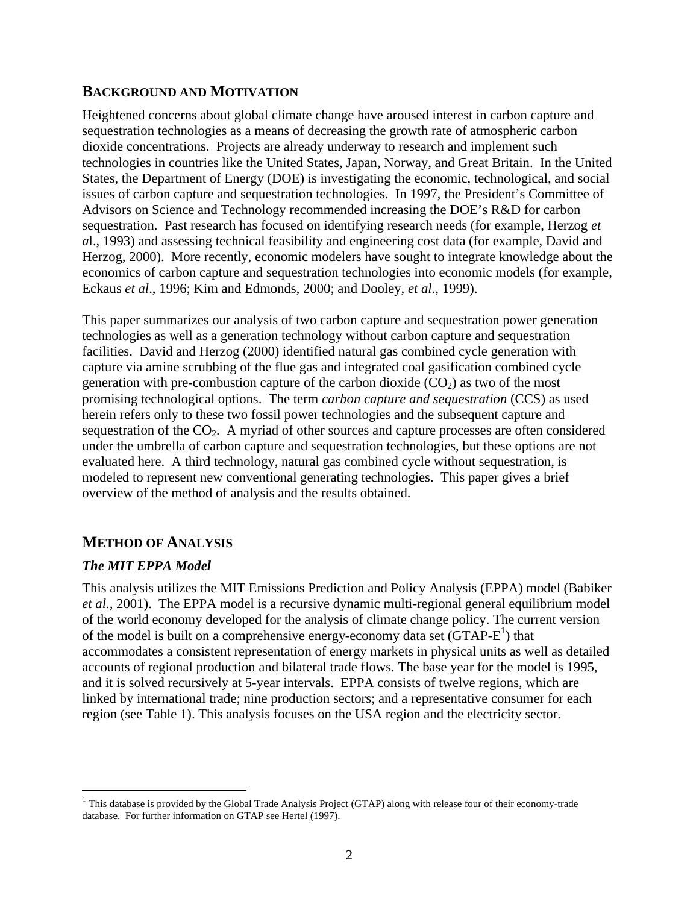### **BACKGROUND AND MOTIVATION**

Heightened concerns about global climate change have aroused interest in carbon capture and sequestration technologies as a means of decreasing the growth rate of atmospheric carbon dioxide concentrations. Projects are already underway to research and implement such technologies in countries like the United States, Japan, Norway, and Great Britain. In the United States, the Department of Energy (DOE) is investigating the economic, technological, and social issues of carbon capture and sequestration technologies. In 1997, the President's Committee of Advisors on Science and Technology recommended increasing the DOE's R&D for carbon sequestration. Past research has focused on identifying research needs (for example, Herzog *et a*l., 1993) and assessing technical feasibility and engineering cost data (for example, David and Herzog, 2000). More recently, economic modelers have sought to integrate knowledge about the economics of carbon capture and sequestration technologies into economic models (for example, Eckaus *et al*., 1996; Kim and Edmonds, 2000; and Dooley, *et al*., 1999).

This paper summarizes our analysis of two carbon capture and sequestration power generation technologies as well as a generation technology without carbon capture and sequestration facilities. David and Herzog (2000) identified natural gas combined cycle generation with capture via amine scrubbing of the flue gas and integrated coal gasification combined cycle generation with pre-combustion capture of the carbon dioxide  $(CO<sub>2</sub>)$  as two of the most promising technological options. The term *carbon capture and sequestration* (CCS) as used herein refers only to these two fossil power technologies and the subsequent capture and sequestration of the  $CO<sub>2</sub>$ . A myriad of other sources and capture processes are often considered under the umbrella of carbon capture and sequestration technologies, but these options are not evaluated here. A third technology, natural gas combined cycle without sequestration, is modeled to represent new conventional generating technologies. This paper gives a brief overview of the method of analysis and the results obtained.

### **METHOD OF ANALYSIS**

#### *The MIT EPPA Model*

 $\overline{a}$ 

This analysis utilizes the MIT Emissions Prediction and Policy Analysis (EPPA) model (Babiker *et al.,* 2001). The EPPA model is a recursive dynamic multi-regional general equilibrium model of the world economy developed for the analysis of climate change policy. The current version of the model is built on a comprehensive energy-economy data set  $(GTAP-E<sup>1</sup>)$  that accommodates a consistent representation of energy markets in physical units as well as detailed accounts of regional production and bilateral trade flows. The base year for the model is 1995, and it is solved recursively at 5-year intervals. EPPA consists of twelve regions, which are linked by international trade; nine production sectors; and a representative consumer for each region (see Table 1). This analysis focuses on the USA region and the electricity sector.

<sup>&</sup>lt;sup>1</sup> This database is provided by the Global Trade Analysis Project (GTAP) along with release four of their economy-trade database. For further information on GTAP see Hertel (1997).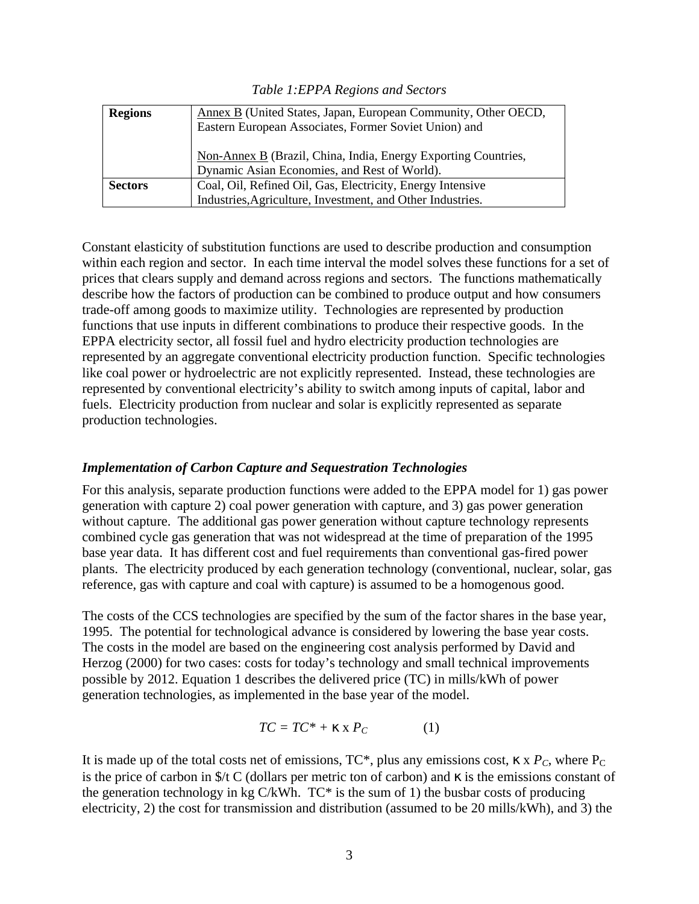*Table 1:EPPA Regions and Sectors*

| <b>Regions</b> | Annex B (United States, Japan, European Community, Other OECD,<br>Eastern European Associates, Former Soviet Union) and  |
|----------------|--------------------------------------------------------------------------------------------------------------------------|
|                | Non-Annex B (Brazil, China, India, Energy Exporting Countries,<br>Dynamic Asian Economies, and Rest of World).           |
| <b>Sectors</b> | Coal, Oil, Refined Oil, Gas, Electricity, Energy Intensive<br>Industries, Agriculture, Investment, and Other Industries. |

Constant elasticity of substitution functions are used to describe production and consumption within each region and sector. In each time interval the model solves these functions for a set of prices that clears supply and demand across regions and sectors. The functions mathematically describe how the factors of production can be combined to produce output and how consumers trade-off among goods to maximize utility. Technologies are represented by production functions that use inputs in different combinations to produce their respective goods. In the EPPA electricity sector, all fossil fuel and hydro electricity production technologies are represented by an aggregate conventional electricity production function. Specific technologies like coal power or hydroelectric are not explicitly represented. Instead, these technologies are represented by conventional electricity's ability to switch among inputs of capital, labor and fuels. Electricity production from nuclear and solar is explicitly represented as separate production technologies.

#### *Implementation of Carbon Capture and Sequestration Technologies*

For this analysis, separate production functions were added to the EPPA model for 1) gas power generation with capture 2) coal power generation with capture, and 3) gas power generation without capture. The additional gas power generation without capture technology represents combined cycle gas generation that was not widespread at the time of preparation of the 1995 base year data. It has different cost and fuel requirements than conventional gas-fired power plants. The electricity produced by each generation technology (conventional, nuclear, solar, gas reference, gas with capture and coal with capture) is assumed to be a homogenous good.

The costs of the CCS technologies are specified by the sum of the factor shares in the base year, 1995. The potential for technological advance is considered by lowering the base year costs. The costs in the model are based on the engineering cost analysis performed by David and Herzog (2000) for two cases: costs for today's technology and small technical improvements possible by 2012. Equation 1 describes the delivered price (TC) in mills/kWh of power generation technologies, as implemented in the base year of the model.

$$
TC = TC^* + \mathbf{k} \times P_C \tag{1}
$$

It is made up of the total costs net of emissions,  $TC^*$ , plus any emissions cost,  $\kappa \times P_C$ , where  $P_C$ is the price of carbon in  $\frac{f}{f}$  C (dollars per metric ton of carbon) and  $\kappa$  is the emissions constant of the generation technology in kg C/kWh.  $TC^*$  is the sum of 1) the busbar costs of producing electricity, 2) the cost for transmission and distribution (assumed to be 20 mills/kWh), and 3) the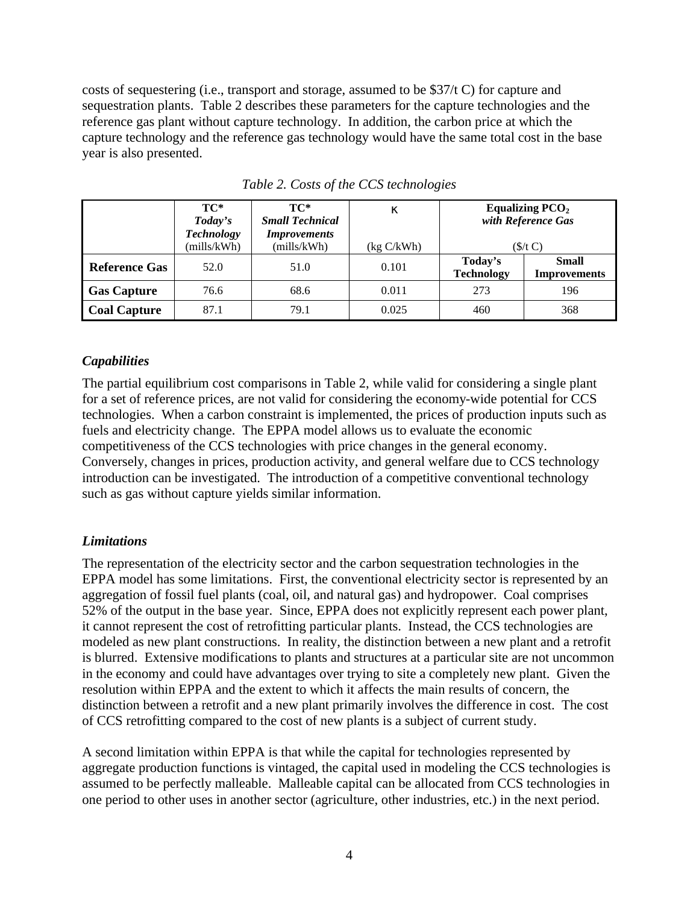costs of sequestering (i.e., transport and storage, assumed to be \$37/t C) for capture and sequestration plants. Table 2 describes these parameters for the capture technologies and the reference gas plant without capture technology. In addition, the carbon price at which the capture technology and the reference gas technology would have the same total cost in the base year is also presented.

|                      | TC*<br>Today's<br><b>Technology</b> | TC*<br><b>Small Technical</b><br><i>Improvements</i> | k          | Equalizing $PCO2$<br>with Reference Gas |                                     |  |
|----------------------|-------------------------------------|------------------------------------------------------|------------|-----------------------------------------|-------------------------------------|--|
|                      | (mills/kWh)                         | (mills/kWh)                                          | (kg C/kWh) | $(\frac{f}{c})$                         |                                     |  |
| <b>Reference Gas</b> | 52.0                                | 51.0                                                 | 0.101      | Today's<br><b>Technology</b>            | <b>Small</b><br><b>Improvements</b> |  |
| <b>Gas Capture</b>   | 76.6                                | 68.6                                                 | 0.011      | 273                                     | 196                                 |  |
| <b>Coal Capture</b>  | 87.1                                | 79.1                                                 | 0.025      | 460                                     | 368                                 |  |

*Table 2. Costs of the CCS technologies*

#### *Capabilities*

The partial equilibrium cost comparisons in Table 2, while valid for considering a single plant for a set of reference prices, are not valid for considering the economy-wide potential for CCS technologies. When a carbon constraint is implemented, the prices of production inputs such as fuels and electricity change. The EPPA model allows us to evaluate the economic competitiveness of the CCS technologies with price changes in the general economy. Conversely, changes in prices, production activity, and general welfare due to CCS technology introduction can be investigated. The introduction of a competitive conventional technology such as gas without capture yields similar information.

#### *Limitations*

The representation of the electricity sector and the carbon sequestration technologies in the EPPA model has some limitations. First, the conventional electricity sector is represented by an aggregation of fossil fuel plants (coal, oil, and natural gas) and hydropower. Coal comprises 52% of the output in the base year. Since, EPPA does not explicitly represent each power plant, it cannot represent the cost of retrofitting particular plants. Instead, the CCS technologies are modeled as new plant constructions. In reality, the distinction between a new plant and a retrofit is blurred. Extensive modifications to plants and structures at a particular site are not uncommon in the economy and could have advantages over trying to site a completely new plant. Given the resolution within EPPA and the extent to which it affects the main results of concern, the distinction between a retrofit and a new plant primarily involves the difference in cost. The cost of CCS retrofitting compared to the cost of new plants is a subject of current study.

A second limitation within EPPA is that while the capital for technologies represented by aggregate production functions is vintaged, the capital used in modeling the CCS technologies is assumed to be perfectly malleable. Malleable capital can be allocated from CCS technologies in one period to other uses in another sector (agriculture, other industries, etc.) in the next period.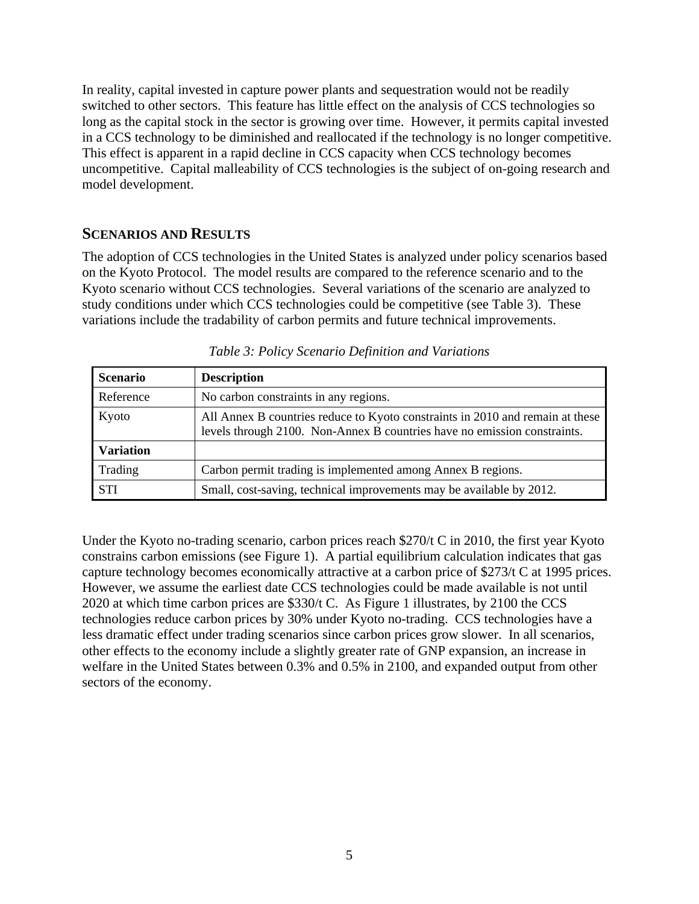In reality, capital invested in capture power plants and sequestration would not be readily switched to other sectors. This feature has little effect on the analysis of CCS technologies so long as the capital stock in the sector is growing over time. However, it permits capital invested in a CCS technology to be diminished and reallocated if the technology is no longer competitive. This effect is apparent in a rapid decline in CCS capacity when CCS technology becomes uncompetitive. Capital malleability of CCS technologies is the subject of on-going research and model development.

#### **SCENARIOS AND RESULTS**

The adoption of CCS technologies in the United States is analyzed under policy scenarios based on the Kyoto Protocol. The model results are compared to the reference scenario and to the Kyoto scenario without CCS technologies. Several variations of the scenario are analyzed to study conditions under which CCS technologies could be competitive (see Table 3). These variations include the tradability of carbon permits and future technical improvements.

| <b>Scenario</b>  | <b>Description</b>                                                                                                                                        |
|------------------|-----------------------------------------------------------------------------------------------------------------------------------------------------------|
| Reference        | No carbon constraints in any regions.                                                                                                                     |
| Kyoto            | All Annex B countries reduce to Kyoto constraints in 2010 and remain at these<br>levels through 2100. Non-Annex B countries have no emission constraints. |
| <b>Variation</b> |                                                                                                                                                           |
| Trading          | Carbon permit trading is implemented among Annex B regions.                                                                                               |
| <b>STI</b>       | Small, cost-saving, technical improvements may be available by 2012.                                                                                      |

| Table 3: Policy Scenario Definition and Variations |  |  |
|----------------------------------------------------|--|--|
|                                                    |  |  |

Under the Kyoto no-trading scenario, carbon prices reach \$270/t C in 2010, the first year Kyoto constrains carbon emissions (see Figure 1). A partial equilibrium calculation indicates that gas capture technology becomes economically attractive at a carbon price of \$273/t C at 1995 prices. However, we assume the earliest date CCS technologies could be made available is not until 2020 at which time carbon prices are \$330/t C. As Figure 1 illustrates, by 2100 the CCS technologies reduce carbon prices by 30% under Kyoto no-trading. CCS technologies have a less dramatic effect under trading scenarios since carbon prices grow slower.In all scenarios, other effects to the economy include a slightly greater rate of GNP expansion, an increase in welfare in the United States between 0.3% and 0.5% in 2100, and expanded output from other sectors of the economy.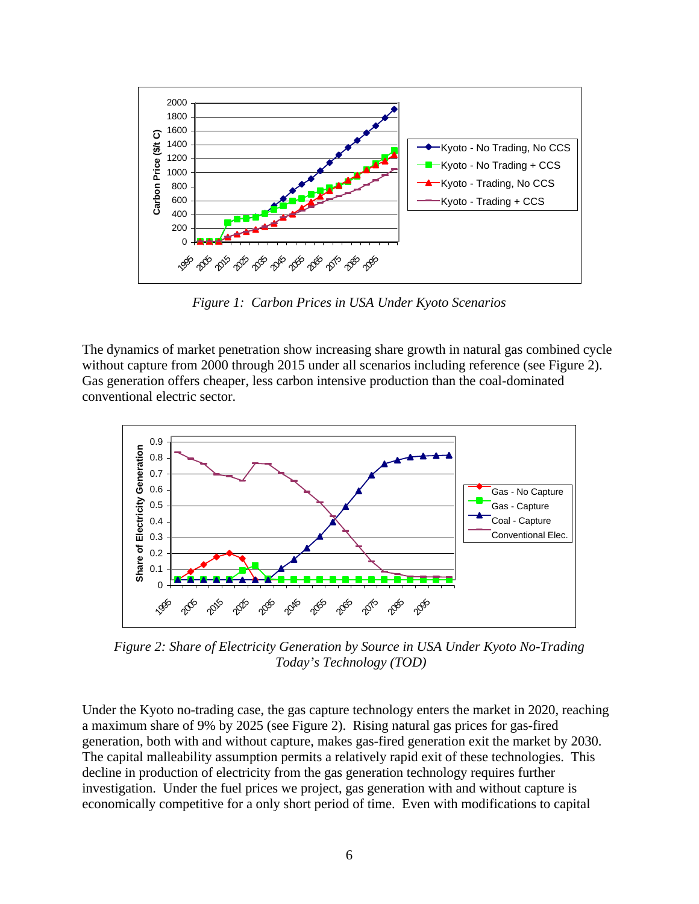

*Figure 1: Carbon Prices in USA Under Kyoto Scenarios*

The dynamics of market penetration show increasing share growth in natural gas combined cycle without capture from 2000 through 2015 under all scenarios including reference (see Figure 2). Gas generation offers cheaper, less carbon intensive production than the coal-dominated conventional electric sector.



*Figure 2: Share of Electricity Generation by Source in USA Under Kyoto No-Trading Today's Technology (TOD)*

Under the Kyoto no-trading case, the gas capture technology enters the market in 2020, reaching a maximum share of 9% by 2025 (see Figure 2). Rising natural gas prices for gas-fired generation, both with and without capture, makes gas-fired generation exit the market by 2030. The capital malleability assumption permits a relatively rapid exit of these technologies. This decline in production of electricity from the gas generation technology requires further investigation. Under the fuel prices we project, gas generation with and without capture is economically competitive for a only short period of time. Even with modifications to capital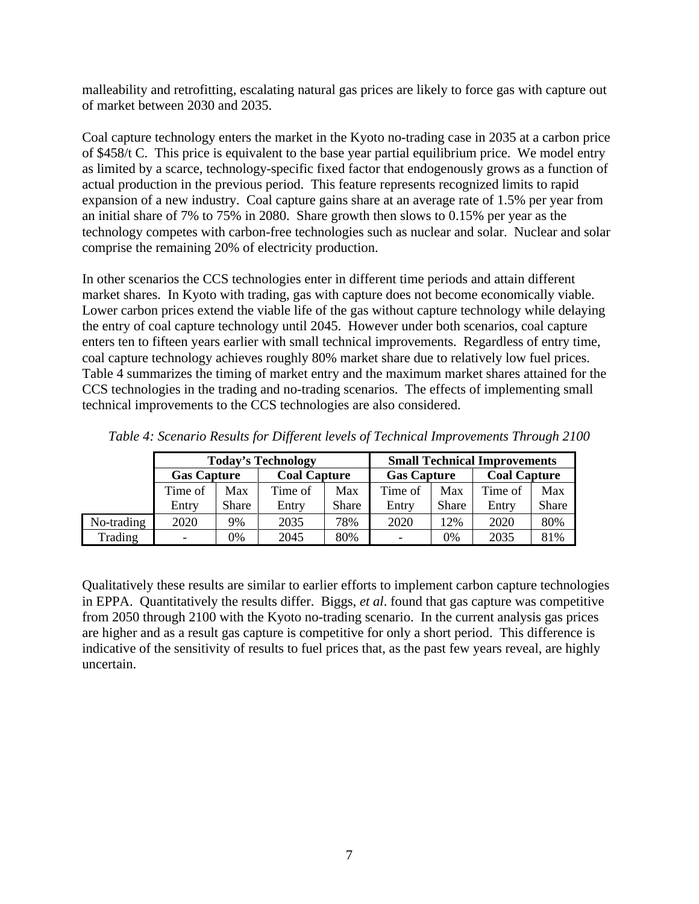malleability and retrofitting, escalating natural gas prices are likely to force gas with capture out of market between 2030 and 2035.

Coal capture technology enters the market in the Kyoto no-trading case in 2035 at a carbon price of \$458/t C. This price is equivalent to the base year partial equilibrium price. We model entry as limited by a scarce, technology-specific fixed factor that endogenously grows as a function of actual production in the previous period. This feature represents recognized limits to rapid expansion of a new industry. Coal capture gains share at an average rate of 1.5% per year from an initial share of 7% to 75% in 2080. Share growth then slows to 0.15% per year as the technology competes with carbon-free technologies such as nuclear and solar. Nuclear and solar comprise the remaining 20% of electricity production.

In other scenarios the CCS technologies enter in different time periods and attain different market shares. In Kyoto with trading, gas with capture does not become economically viable. Lower carbon prices extend the viable life of the gas without capture technology while delaying the entry of coal capture technology until 2045. However under both scenarios, coal capture enters ten to fifteen years earlier with small technical improvements. Regardless of entry time, coal capture technology achieves roughly 80% market share due to relatively low fuel prices. Table 4 summarizes the timing of market entry and the maximum market shares attained for the CCS technologies in the trading and no-trading scenarios. The effects of implementing small technical improvements to the CCS technologies are also considered.

|            | <b>Today's Technology</b> |              |                     |              | <b>Small Technical Improvements</b> |              |                     |              |
|------------|---------------------------|--------------|---------------------|--------------|-------------------------------------|--------------|---------------------|--------------|
|            | <b>Gas Capture</b>        |              | <b>Coal Capture</b> |              | <b>Gas Capture</b>                  |              | <b>Coal Capture</b> |              |
|            | Time of                   | Max          | Time of             | Max          | Time of                             | Max          | Time of             | Max          |
|            | Entry                     | <b>Share</b> | Entry               | <b>Share</b> | Entry                               | <b>Share</b> | Entry               | <b>Share</b> |
| No-trading | 2020                      | 9%           | 2035                | 78%          | 2020                                | 12%          | 2020                | 80%          |
| Trading    | Ξ.                        | 0%           | 2045                | 80%          | -                                   | 0%           | 2035                | 81%          |

*Table 4: Scenario Results for Different levels of Technical Improvements Through 2100*

Qualitatively these results are similar to earlier efforts to implement carbon capture technologies in EPPA. Quantitatively the results differ. Biggs, *et al*. found that gas capture was competitive from 2050 through 2100 with the Kyoto no-trading scenario. In the current analysis gas prices are higher and as a result gas capture is competitive for only a short period. This difference is indicative of the sensitivity of results to fuel prices that, as the past few years reveal, are highly uncertain.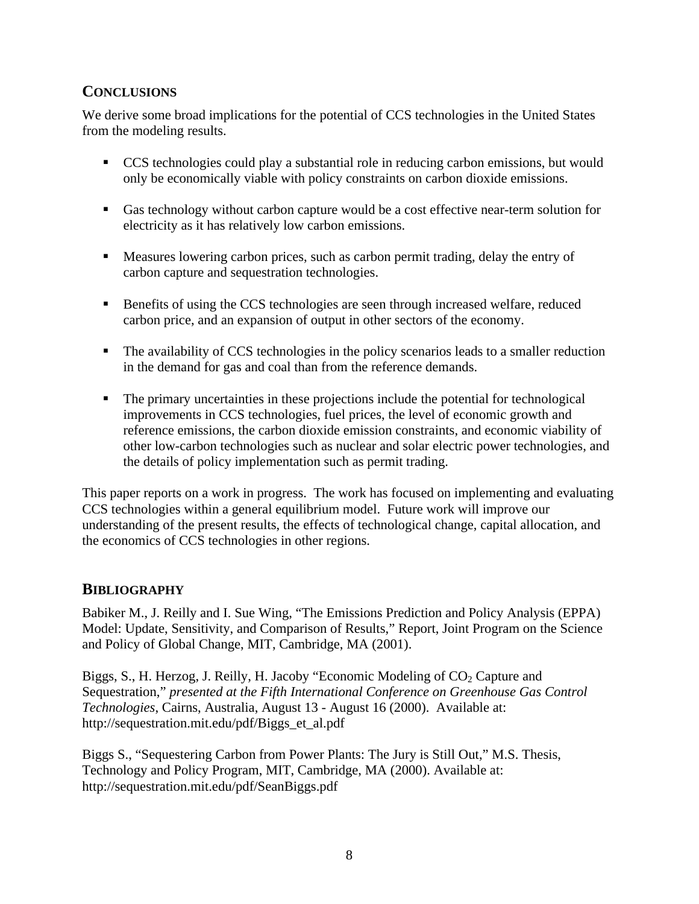### **CONCLUSIONS**

We derive some broad implications for the potential of CCS technologies in the United States from the modeling results.

- **CCS** technologies could play a substantial role in reducing carbon emissions, but would only be economically viable with policy constraints on carbon dioxide emissions.
- ß Gas technology without carbon capture would be a cost effective near-term solution for electricity as it has relatively low carbon emissions.
- **Measures lowering carbon prices, such as carbon permit trading, delay the entry of** carbon capture and sequestration technologies.
- **Benefits of using the CCS technologies are seen through increased welfare, reduced** carbon price, and an expansion of output in other sectors of the economy.
- The availability of CCS technologies in the policy scenarios leads to a smaller reduction in the demand for gas and coal than from the reference demands.
- The primary uncertainties in these projections include the potential for technological improvements in CCS technologies, fuel prices, the level of economic growth and reference emissions, the carbon dioxide emission constraints, and economic viability of other low-carbon technologies such as nuclear and solar electric power technologies, and the details of policy implementation such as permit trading.

This paper reports on a work in progress. The work has focused on implementing and evaluating CCS technologies within a general equilibrium model. Future work will improve our understanding of the present results, the effects of technological change, capital allocation, and the economics of CCS technologies in other regions.

## **BIBLIOGRAPHY**

Babiker M., J. Reilly and I. Sue Wing, "The Emissions Prediction and Policy Analysis (EPPA) Model: Update, Sensitivity, and Comparison of Results," Report, Joint Program on the Science and Policy of Global Change, MIT, Cambridge, MA (2001).

Biggs, S., H. Herzog, J. Reilly, H. Jacoby "Economic Modeling of CO<sub>2</sub> Capture and Sequestration," *presented at the Fifth International Conference on Greenhouse Gas Control Technologies*, Cairns, Australia, August 13 - August 16 (2000). Available at: http://sequestration.mit.edu/pdf/Biggs\_et\_al.pdf

Biggs S., "Sequestering Carbon from Power Plants: The Jury is Still Out," M.S. Thesis, Technology and Policy Program, MIT, Cambridge, MA (2000). Available at: http://sequestration.mit.edu/pdf/SeanBiggs.pdf